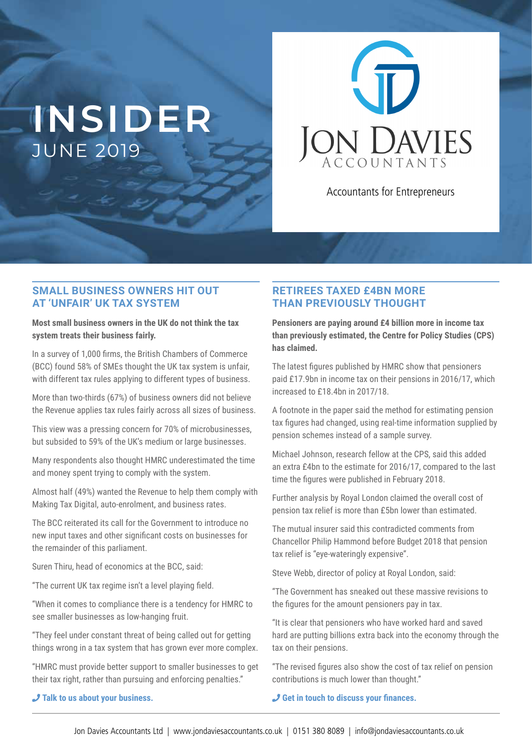# **INSIDER** JUNE 2019



Accountants for Entrepreneurs

## **SMALL BUSINESS OWNERS HIT OUT AT 'UNFAIR' UK TAX SYSTEM**

**Most small business owners in the UK do not think the tax system treats their business fairly.**

In a survey of 1,000 firms, the British Chambers of Commerce (BCC) found 58% of SMEs thought the UK tax system is unfair, with different tax rules applying to different types of business.

More than two-thirds (67%) of business owners did not believe the Revenue applies tax rules fairly across all sizes of business.

This view was a pressing concern for 70% of microbusinesses, but subsided to 59% of the UK's medium or large businesses.

Many respondents also thought HMRC underestimated the time and money spent trying to comply with the system.

Almost half (49%) wanted the Revenue to help them comply with Making Tax Digital, auto-enrolment, and business rates.

The BCC reiterated its call for the Government to introduce no new input taxes and other significant costs on businesses for the remainder of this parliament.

Suren Thiru, head of economics at the BCC, said:

"The current UK tax regime isn't a level playing field.

"When it comes to compliance there is a tendency for HMRC to see smaller businesses as low-hanging fruit.

"They feel under constant threat of being called out for getting things wrong in a tax system that has grown ever more complex.

"HMRC must provide better support to smaller businesses to get their tax right, rather than pursuing and enforcing penalties."

## **RETIREES TAXED £4BN MORE THAN PREVIOUSLY THOUGHT**

**Pensioners are paying around £4 billion more in income tax than previously estimated, the Centre for Policy Studies (CPS) has claimed.**

The latest figures published by HMRC show that pensioners paid £17.9bn in income tax on their pensions in 2016/17, which increased to £18.4bn in 2017/18.

A footnote in the paper said the method for estimating pension tax figures had changed, using real-time information supplied by pension schemes instead of a sample survey.

Michael Johnson, research fellow at the CPS, said this added an extra £4bn to the estimate for 2016/17, compared to the last time the figures were published in February 2018.

Further analysis by Royal London claimed the overall cost of pension tax relief is more than £5bn lower than estimated.

The mutual insurer said this contradicted comments from Chancellor Philip Hammond before Budget 2018 that pension tax relief is "eye-wateringly expensive".

Steve Webb, director of policy at Royal London, said:

"The Government has sneaked out these massive revisions to the figures for the amount pensioners pay in tax.

"It is clear that pensioners who have worked hard and saved hard are putting billions extra back into the economy through the tax on their pensions.

"The revised figures also show the cost of tax relief on pension contributions is much lower than thought."

¶ **Get in touch to discuss your inances.**

¶ **Talk to us about your business.**